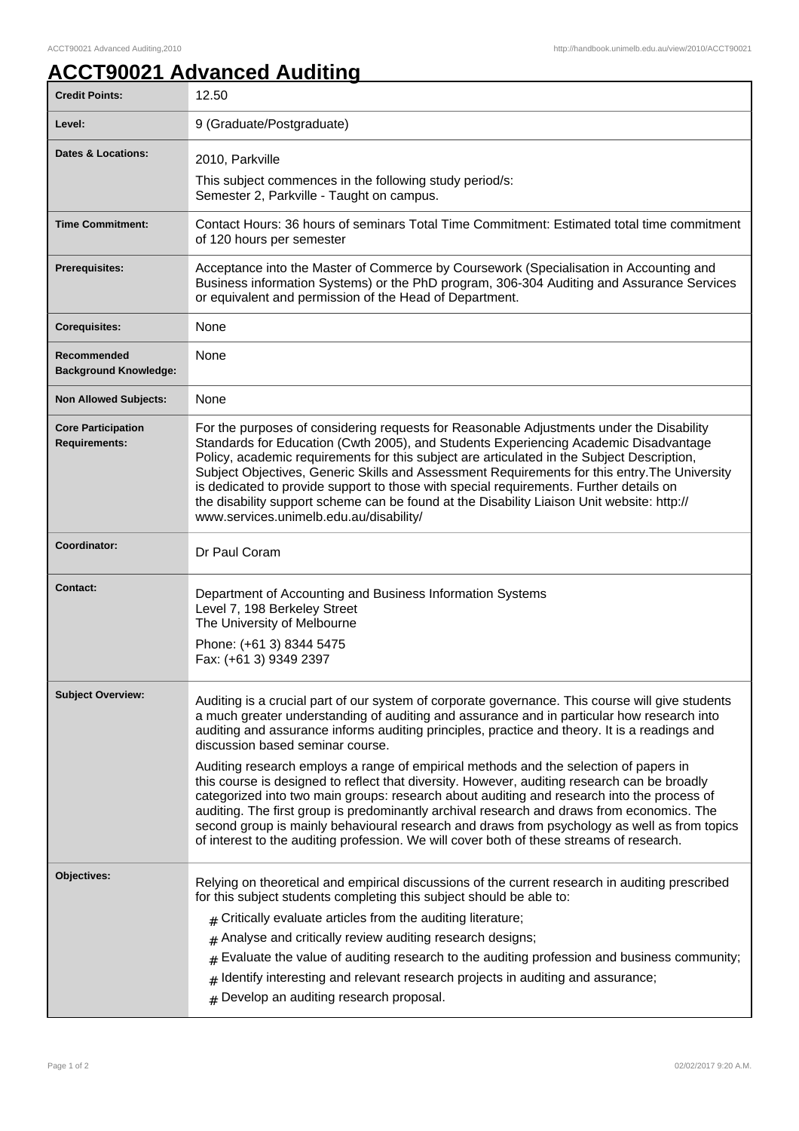## **ACCT90021 Advanced Auditing**

| <b>Credit Points:</b>                             | 12.50                                                                                                                                                                                                                                                                                                                                                                                                                                                                                                                                                                                                                                                                                                                                                                                                                                                                                                                |
|---------------------------------------------------|----------------------------------------------------------------------------------------------------------------------------------------------------------------------------------------------------------------------------------------------------------------------------------------------------------------------------------------------------------------------------------------------------------------------------------------------------------------------------------------------------------------------------------------------------------------------------------------------------------------------------------------------------------------------------------------------------------------------------------------------------------------------------------------------------------------------------------------------------------------------------------------------------------------------|
| Level:                                            | 9 (Graduate/Postgraduate)                                                                                                                                                                                                                                                                                                                                                                                                                                                                                                                                                                                                                                                                                                                                                                                                                                                                                            |
| <b>Dates &amp; Locations:</b>                     | 2010, Parkville                                                                                                                                                                                                                                                                                                                                                                                                                                                                                                                                                                                                                                                                                                                                                                                                                                                                                                      |
|                                                   | This subject commences in the following study period/s:<br>Semester 2, Parkville - Taught on campus.                                                                                                                                                                                                                                                                                                                                                                                                                                                                                                                                                                                                                                                                                                                                                                                                                 |
| <b>Time Commitment:</b>                           | Contact Hours: 36 hours of seminars Total Time Commitment: Estimated total time commitment<br>of 120 hours per semester                                                                                                                                                                                                                                                                                                                                                                                                                                                                                                                                                                                                                                                                                                                                                                                              |
| <b>Prerequisites:</b>                             | Acceptance into the Master of Commerce by Coursework (Specialisation in Accounting and<br>Business information Systems) or the PhD program, 306-304 Auditing and Assurance Services<br>or equivalent and permission of the Head of Department.                                                                                                                                                                                                                                                                                                                                                                                                                                                                                                                                                                                                                                                                       |
| <b>Corequisites:</b>                              | None                                                                                                                                                                                                                                                                                                                                                                                                                                                                                                                                                                                                                                                                                                                                                                                                                                                                                                                 |
| Recommended<br><b>Background Knowledge:</b>       | None                                                                                                                                                                                                                                                                                                                                                                                                                                                                                                                                                                                                                                                                                                                                                                                                                                                                                                                 |
| <b>Non Allowed Subjects:</b>                      | None                                                                                                                                                                                                                                                                                                                                                                                                                                                                                                                                                                                                                                                                                                                                                                                                                                                                                                                 |
| <b>Core Participation</b><br><b>Requirements:</b> | For the purposes of considering requests for Reasonable Adjustments under the Disability<br>Standards for Education (Cwth 2005), and Students Experiencing Academic Disadvantage<br>Policy, academic requirements for this subject are articulated in the Subject Description,<br>Subject Objectives, Generic Skills and Assessment Requirements for this entry. The University<br>is dedicated to provide support to those with special requirements. Further details on<br>the disability support scheme can be found at the Disability Liaison Unit website: http://<br>www.services.unimelb.edu.au/disability/                                                                                                                                                                                                                                                                                                   |
| Coordinator:                                      | Dr Paul Coram                                                                                                                                                                                                                                                                                                                                                                                                                                                                                                                                                                                                                                                                                                                                                                                                                                                                                                        |
| <b>Contact:</b>                                   | Department of Accounting and Business Information Systems<br>Level 7, 198 Berkeley Street<br>The University of Melbourne<br>Phone: (+61 3) 8344 5475<br>Fax: (+61 3) 9349 2397                                                                                                                                                                                                                                                                                                                                                                                                                                                                                                                                                                                                                                                                                                                                       |
| <b>Subject Overview:</b>                          | Auditing is a crucial part of our system of corporate governance. This course will give students<br>a much greater understanding of auditing and assurance and in particular how research into<br>auditing and assurance informs auditing principles, practice and theory. It is a readings and<br>discussion based seminar course.<br>Auditing research employs a range of empirical methods and the selection of papers in<br>this course is designed to reflect that diversity. However, auditing research can be broadly<br>categorized into two main groups: research about auditing and research into the process of<br>auditing. The first group is predominantly archival research and draws from economics. The<br>second group is mainly behavioural research and draws from psychology as well as from topics<br>of interest to the auditing profession. We will cover both of these streams of research. |
| Objectives:                                       | Relying on theoretical and empirical discussions of the current research in auditing prescribed<br>for this subject students completing this subject should be able to:<br>$#$ Critically evaluate articles from the auditing literature;<br>Analyse and critically review auditing research designs;<br>#<br>Evaluate the value of auditing research to the auditing profession and business community;<br>Identify interesting and relevant research projects in auditing and assurance;<br>$\#$<br># Develop an auditing research proposal.                                                                                                                                                                                                                                                                                                                                                                       |
|                                                   |                                                                                                                                                                                                                                                                                                                                                                                                                                                                                                                                                                                                                                                                                                                                                                                                                                                                                                                      |